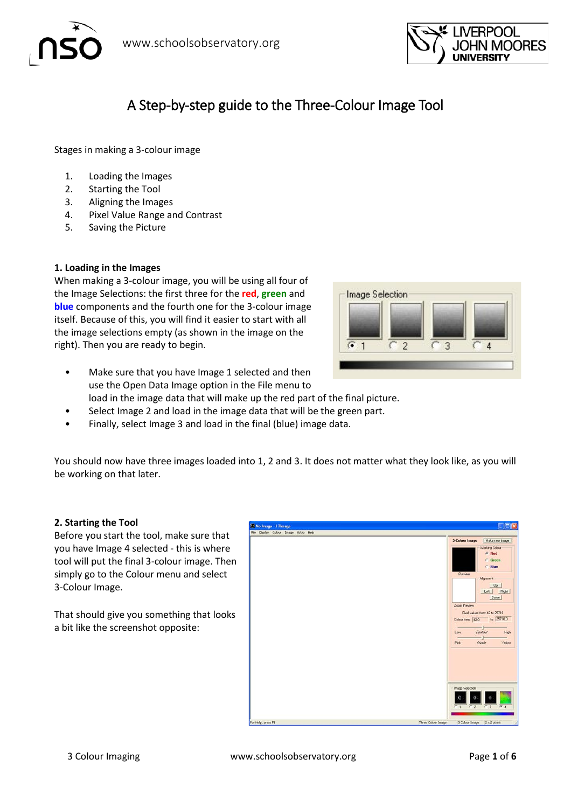

# A Step-by-step guide to the Three-Colour Image Tool

Stages in making a 3-colour image

- 1. Loading the Images
- 2. Starting the Tool
- 3. Aligning the Images
- 4. Pixel Value Range and Contrast
- 5. Saving the Picture

## **1. Loading in the Images**

When making a 3-colour image, you will be using all four of the Image Selections: the first three for the **red**, **green** and **blue** components and the fourth one for the 3-colour image itself. Because of this, you will find it easier to start with all the image selections empty (as shown in the image on the right). Then you are ready to begin.



- Make sure that you have Image 1 selected and then use the Open Data Image option in the File menu to load in the image data that will make up the red part of the final picture.
- Select Image 2 and load in the image data that will be the green part.
- Finally, select Image 3 and load in the final (blue) image data.

You should now have three images loaded into 1, 2 and 3. It does not matter what they look like, as you will be working on that later.

## **2. Starting the Tool**

Before you start the tool, make sure that you have Image 4 selected - this is where tool will put the final 3-colour image. Then simply go to the Colour menu and select 3-Colour Image.

That should give you something that looks a bit like the screenshot opposite:

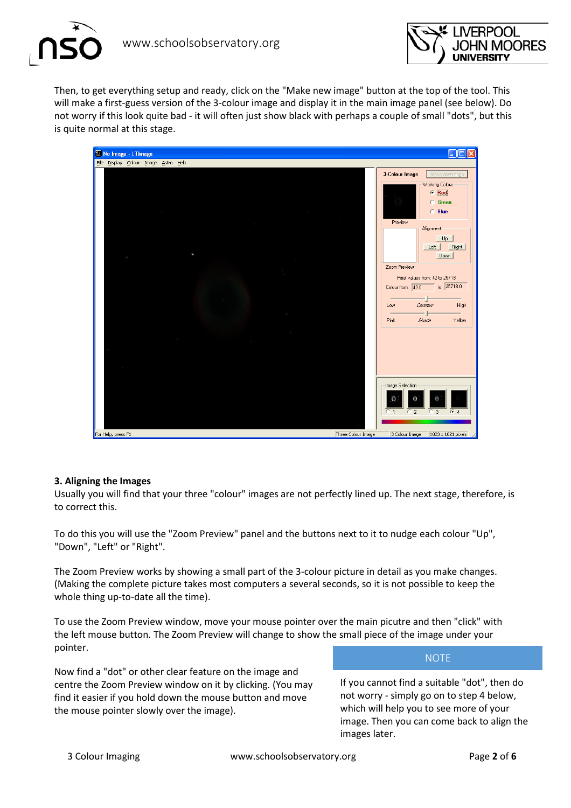



Then, to get everything setup and ready, click on the "Make new image" button at the top of the tool. This will make a first-guess version of the 3-colour image and display it in the main image panel (see below). Do not worry if this look quite bad - it will often just show black with perhaps a couple of small "dots", but this is quite normal at this stage.



## **3. Aligning the Images**

Usually you will find that your three "colour" images are not perfectly lined up. The next stage, therefore, is to correct this.

To do this you will use the "Zoom Preview" panel and the buttons next to it to nudge each colour "Up", "Down", "Left" or "Right".

The Zoom Preview works by showing a small part of the 3-colour picture in detail as you make changes. (Making the complete picture takes most computers a several seconds, so it is not possible to keep the whole thing up-to-date all the time).

To use the Zoom Preview window, move your mouse pointer over the main picutre and then "click" with the left mouse button. The Zoom Preview will change to show the small piece of the image under your pointer.

Now find a "dot" or other clear feature on the image and centre the Zoom Preview window on it by clicking. (You may find it easier if you hold down the mouse button and move the mouse pointer slowly over the image).

#### NOTE

If you cannot find a suitable "dot", then do not worry - simply go on to step 4 below, which will help you to see more of your image. Then you can come back to align the images later.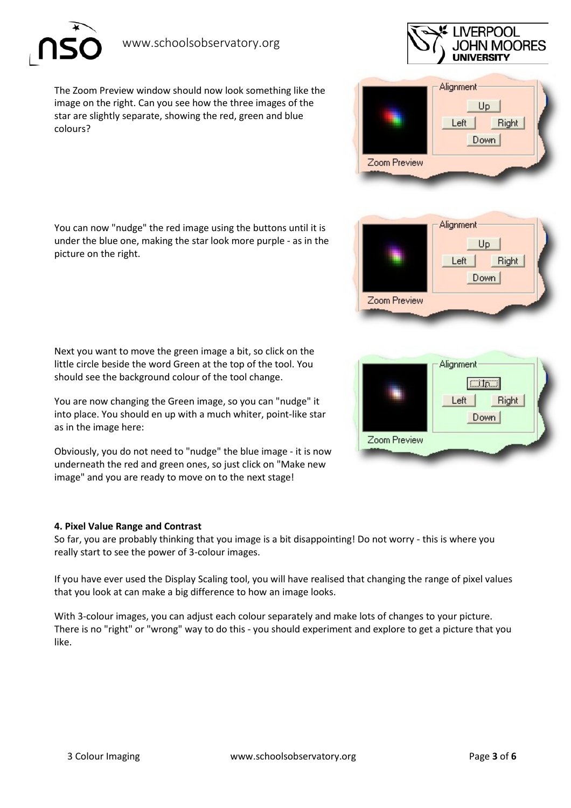The Zoom Preview window should now look something like the image on the right. Can you see how the three images of the star are slightly separate, showing the red, green and blue colours?

You can now "nudge" the red image using the buttons until it is under the blue one, making the star look more purple - as in the picture on the right.

Next you want to move the green image a bit, so click on the little circle beside the word Green at the top of the tool. You should see the background colour of the tool change.

You are now changing the Green image, so you can "nudge" it into place. You should en up with a much whiter, point-like star as in the image here:

Obviously, you do not need to "nudge" the blue image - it is now underneath the red and green ones, so just click on "Make new image" and you are ready to move on to the next stage!

## **4. Pixel Value Range and Contrast**

So far, you are probably thinking that you image is a bit disappointing! Do not worry - this is where you really start to see the power of 3-colour images.

If you have ever used the Display Scaling tool, you will have realised that changing the range of pixel values that you look at can make a big difference to how an image looks.

With 3-colour images, you can adjust each colour separately and make lots of changes to your picture. There is no "right" or "wrong" way to do this - you should experiment and explore to get a picture that you like.



IN MOORES





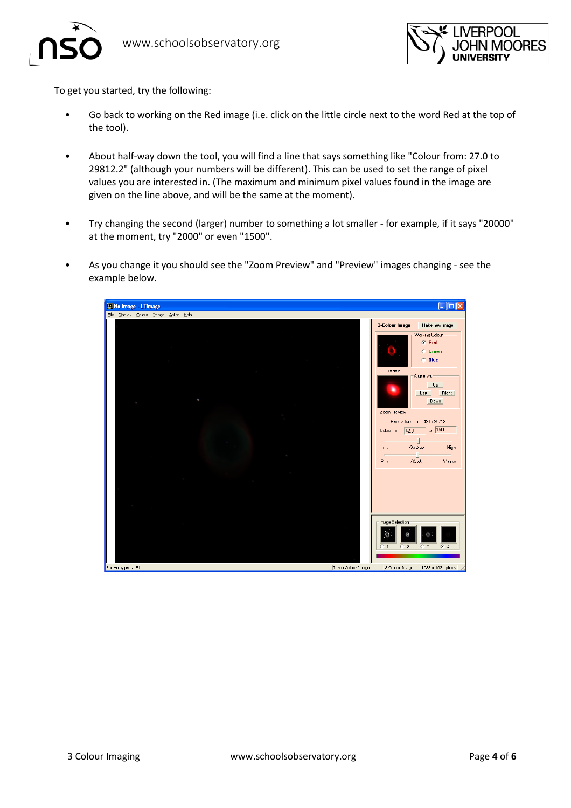



To get you started, try the following:

- Go back to working on the Red image (i.e. click on the little circle next to the word Red at the top of the tool).
- About half-way down the tool, you will find a line that says something like "Colour from: 27.0 to 29812.2" (although your numbers will be different). This can be used to set the range of pixel values you are interested in. (The maximum and minimum pixel values found in the image are given on the line above, and will be the same at the moment).
- Try changing the second (larger) number to something a lot smaller for example, if it says "20000" at the moment, try "2000" or even "1500".
- As you change it you should see the "Zoom Preview" and "Preview" images changing see the example below.

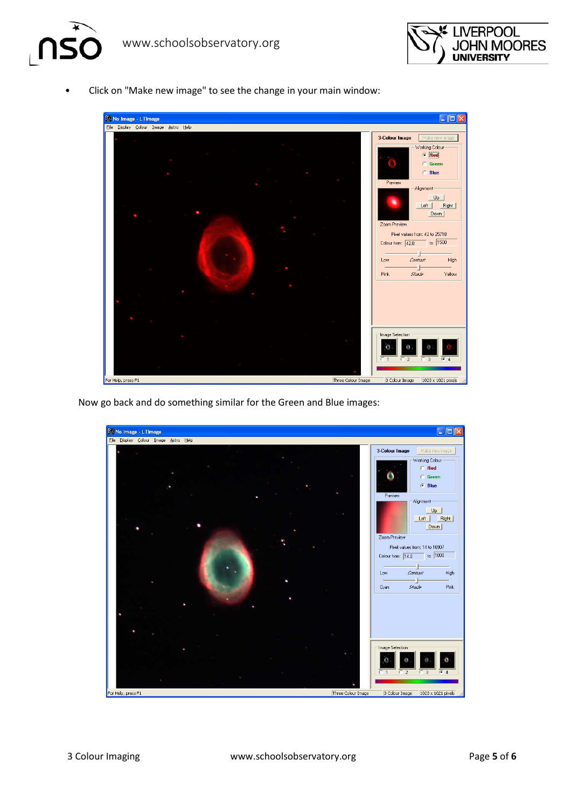

• Click on "Make new image" to see the change in your main window:



Now go back and do something similar for the Green and Blue images: